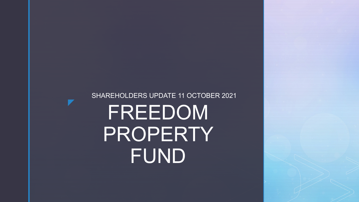# FREEDOM PROPERTY FUND

SHAREHOLDERS UPDATE 11 OCTOBER 2021

7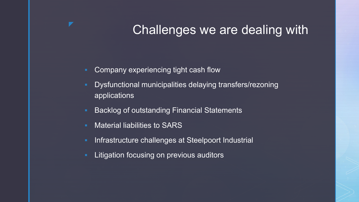# Challenges we are dealing with

- **-** Company experiencing tight cash flow
- **Dysfunctional municipalities delaying transfers/rezoning** applications
- **Backlog of outstanding Financial Statements**
- **Naterial liabilities to SARS**
- **Infrastructure challenges at Steelpoort Industrial**
- **EXTERGHT Litigation focusing on previous auditors**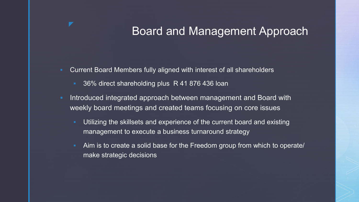### Board and Management Approach

- **EXTERS CULTERT CULTERT CULTER IS CONTEX CONTEX CONTEX FIG.** Current Board Members
	- **36% direct shareholding plus R 41 876 436 loan**
- **Introduced integrated approach between management and Board with** weekly board meetings and created teams focusing on core issues
	- **Utilizing the skillsets and experience of the current board and existing** management to execute a business turnaround strategy
	- Aim is to create a solid base for the Freedom group from which to operate/ make strategic decisions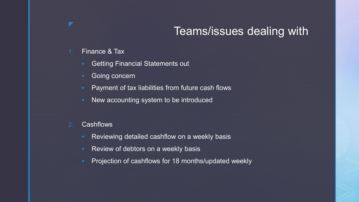### Teams/issues dealing with

#### 1. Finance & Tax

- **Getting Financial Statements out**
- **Going concern**
- **Payment of tax liabilities from future cash flows**
- **New accounting system to be introduced**

#### 2. Cashflows

- **Reviewing detailed cashflow on a weekly basis**
- Review of debtors on a weekly basis
- Projection of cashflows for 18 months/updated weekly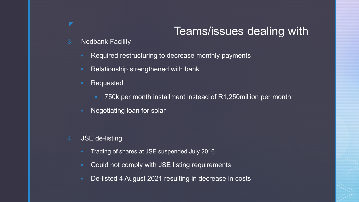### Teams/issues dealing with

- 3. Nedbank Facility
	- **Required restructuring to decrease monthly payments**
	- Relationship strengthened with bank
	- **Requested** 
		- 750k per month installment instead of R1,250million per month
	- **Negotiating loan for solar**
- 4. JSE de-listing
	- Trading of shares at JSE suspended July 2016
	- **Could not comply with JSE listing requirements**
	- **De-listed 4 August 2021 resulting in decrease in costs**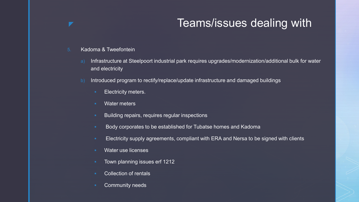### **The Section Section Teams/issues dealing with**

- 5. Kadoma & Tweefontein
	- a) Infrastructure at Steelpoort industrial park requires upgrades/modernization/additional bulk for water and electricity
	- b) Introduced program to rectify/replace/update infrastructure and damaged buildings
		- **Electricity meters.**
		- Water meters
		- **Building repairs, requires regular inspections**
		- **Body corporates to be established for Tubatse homes and Kadoma**
		- **ELECTRICITY** Supply agreements, compliant with ERA and Nersa to be signed with clients
		- **Water use licenses**
		- **Town planning issues erf 1212**
		- **Collection of rentals**
		- **•** Community needs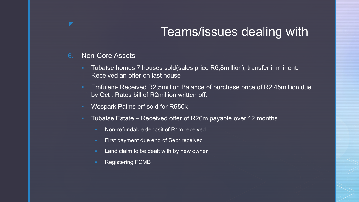# Teams/issues dealing with

6. Non-Core Assets

◤

- **Tubatse homes 7 houses sold (sales price R6,8million), transfer imminent.** Received an offer on last house
- Emfuleni- Received R2,5million Balance of purchase price of R2.45million due by Oct . Rates bill of R2million written off.
- **Wespark Palms erf sold for R550k**
- **Tubatse Estate Received offer of R26m payable over 12 months.** 
	- **Non-refundable deposit of R1m received**
	- **First payment due end of Sept received**
	- **Land claim to be dealt with by new owner**
	- Registering FCMB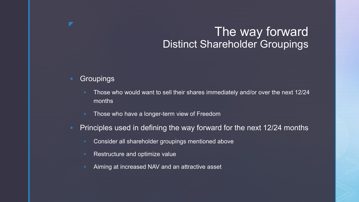### The way forward Distinct Shareholder Groupings

#### **Groupings**

◤

- Those who would want to sell their shares immediately and/or over the next 12/24 months
- **Those who have a longer-term view of Freedom**
- **Principles used in defining the way forward for the next 12/24 months** 
	- **EXECONSTARGE CONSTARGED EXAMPLE THE CONSTANT CONSTANT** CONSIDENT **CONSTANT** CONSIDENT CONSIDENT CONSIDENT CONSIDENT CONSIDENT CONSIDENT CONSIDENT CONSIDENT CONSIDENT CONSIDENT CONSIDENT CONSIDENT CONSIDENT CONSIDENT CONSI
	- Restructure and optimize value
	- **Aiming at increased NAV and an attractive asset**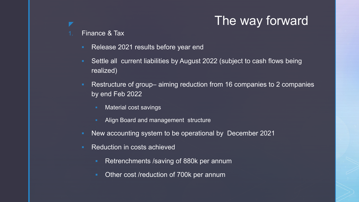# **The way forward**

#### 1. Finance & Tax

- Release 2021 results before year end
- Settle all current liabilities by August 2022 (subject to cash flows being realized)
- Restructure of group– aiming reduction from 16 companies to 2 companies by end Feb 2022
	- Material cost savings
	- Align Board and management structure
- New accounting system to be operational by December 2021
- Reduction in costs achieved
	- **Retrenchments /saving of 880k per annum**
	- **Other cost /reduction of 700k per annum**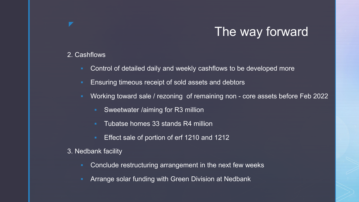# The way forward

#### 2. Cashflows

- Control of detailed daily and weekly cashflows to be developed more
- Ensuring timeous receipt of sold assets and debtors
- Working toward sale / rezoning of remaining non core assets before Feb 2022
	- **Sweetwater /aiming for R3 million**
	- **Tubatse homes 33 stands R4 million**
	- **Effect sale of portion of erf 1210 and 1212**
- 3. Nedbank facility
	- Conclude restructuring arrangement in the next few weeks
	- Arrange solar funding with Green Division at Nedbank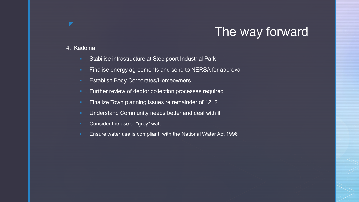# The way forward

#### 4. Kadoma

- **Stabilise infrastructure at Steelpoort Industrial Park**
- **Finalise energy agreements and send to NERSA for approval**
- **Establish Body Corporates/Homeowners**
- **Further review of debtor collection processes required**
- **Finalize Town planning issues re remainder of 1212**
- **Understand Community needs better and deal with it**
- **Consider the use of "grey" water**
- **Ensure water use is compliant with the National Water Act 1998**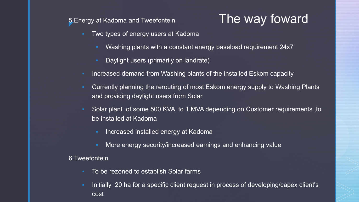5. Energy at Kadoma and Tweefontein

# The way foward

- **Two types of energy users at Kadoma** 
	- Washing plants with a constant energy baseload requirement 24x7
	- Daylight users (primarily on landrate)
- **Increased demand from Washing plants of the installed Eskom capacity**
- **EXT Currently planning the rerouting of most Eskom energy supply to Washing Plants** and providing daylight users from Solar
- Solar plant of some 500 KVA to 1 MVA depending on Customer requirements ,to be installed at Kadoma
	- Increased installed energy at Kadoma
	- More energy security/increased earnings and enhancing value

#### 6.Tweefontein

- To be rezoned to establish Solar farms
- Initially 20 ha for a specific client request in process of developing/capex client's cost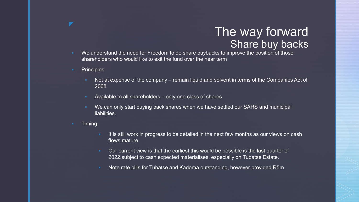### The way forward **Share buy backs**

- We understand the need for Freedom to do share buybacks to improve the position of those shareholders who would like to exit the fund over the near term
- **•** Principles

▼

- Not at expense of the company remain liquid and solvent in terms of the Companies Act of 2008
- Available to all shareholders only one class of shares
- We can only start buying back shares when we have settled our SARS and municipal liabilities.
- **Timing** 
	- It is still work in progress to be detailed in the next few months as our views on cash flows mature
	- **Dure current view is that the earliest this would be possible is the last quarter of** 2022,subject to cash expected materialises, especially on Tubatse Estate.
	- **Note rate bills for Tubatse and Kadoma outstanding, however provided R5m**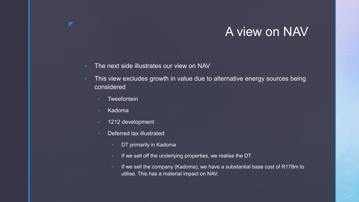### A view on NAV

- **The next side illustrates our view on NAV**
- **This view excludes growth in value due to alternative energy sources being** considered
	- **Tweefontein**
	- **Kadoma**

▼

- **1212 development**
- **Deferred tax illustrated** 
	- **DT primarily in Kadoma**
	- If we sell off the underlying properties, we realise the DT
	- If we sell the company (Kadoma), we have a substantial base cost of R178m to utilise. This has a material impact on NAV.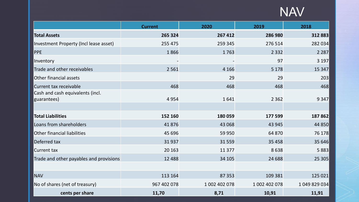# NAV

|                                                 | <b>Current</b> | 2020          | 2019          | 2018          |
|-------------------------------------------------|----------------|---------------|---------------|---------------|
| <b>Total Assets</b>                             | 265 324        | 267 412       | 286 980       | 312 883       |
| Investment Property (Incl lease asset)          | 255 475        | 259 345       | 276 514       | 282 034       |
| <b>PPE</b>                                      | 1866           | 1763          | 2 3 3 2       | 2 2 8 7       |
| Inventory                                       |                |               | 97            | 3 197         |
| Trade and other receivables                     | 2 5 6 1        | 4 1 6 6       | 5 1 7 8       | 15 3 47       |
| Other financial assets                          |                | 29            | 29            | 203           |
| Current tax receivable                          | 468            | 468           | 468           | 468           |
| Cash and cash equivalents (incl.<br>guarantees) | 4954           | 1641          | 2 3 6 2       | 9 3 4 7       |
|                                                 |                |               |               |               |
| <b>Total Liabilities</b>                        | 152 160        | 180 059       | 177 599       | 187 862       |
| Loans from shareholders                         | 41876          | 43 068        | 43 945        | 44 850        |
| <b>Other financial liabilities</b>              | 45 696         | 59 950        | 64 870        | 76 178        |
| Deferred tax                                    | 31937          | 31559         | 35 4 58       | 35 646        |
| <b>Current tax</b>                              | 20 16 3        | 11 377        | 8638          | 5 8 8 3       |
| Trade and other payables and provisions         | 12 4 8 8       | 34 105        | 24 688        | 25 305        |
|                                                 |                |               |               |               |
| <b>NAV</b>                                      | 113 164        | 87 353        | 109 381       | 125 021       |
| No of shares (net of treasury)                  | 967 402 078    | 1 002 402 078 | 1 002 402 078 | 1 049 829 034 |
| cents per share                                 | 11,70          | 8,71          | 10,91         | 11,91         |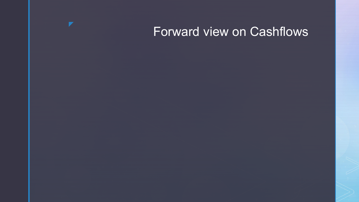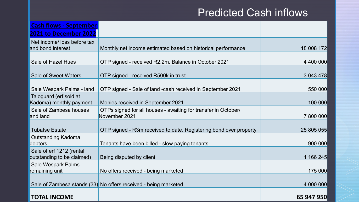### Predicted Cash inflows

| <b>Cash flows - September</b>                          |                                                                                 |            |
|--------------------------------------------------------|---------------------------------------------------------------------------------|------------|
| <b>2021 to December 2022</b>                           |                                                                                 |            |
| Net income/ loss before tax<br>and bond interest       | Monthly net income estimated based on historical performance                    | 18 008 172 |
| Sale of Hazel Hues                                     | OTP signed - received R2,2m. Balance in October 2021                            | 4 400 000  |
| <b>Sale of Sweet Waters</b>                            | OTP signed - received R500k in trust                                            | 3 043 478  |
| Sale Wespark Palms - land                              | OTP signed - Sale of land -cash received in September 2021                      | 550 000    |
| Taioguard (erf sold at<br>Kadoma) monthly payment      | Monies received in September 2021                                               | 100 000    |
| Sale of Zambesa houses<br>and land                     | OTPs signed for all houses - awaiting for transfer in October/<br>November 2021 | 7 800 000  |
| <b>Tubatse Estate</b>                                  | OTP signed - R3m received to date. Registering bond over property               | 25 805 055 |
| <b>Outstanding Kadoma</b><br>debtors                   | Tenants have been billed - slow paying tenants                                  | 900 000    |
| Sale of erf 1212 (rental<br>outstanding to be claimed) | Being disputed by client                                                        | 1 166 245  |
| Sale Wespark Palms -<br>remaining unit                 | No offers received - being marketed                                             | 175 000    |
|                                                        | Sale of Zambesa stands (33) No offers received - being marketed                 | 4 000 000  |
| <b>TOTAL INCOME</b>                                    |                                                                                 | 65 947 950 |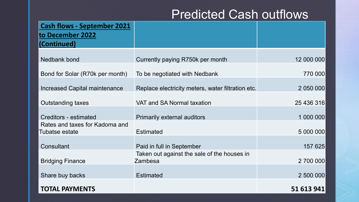# Predicted Cash outflows

| <b>Cash flows - September 2021</b>               |                                                        |            |
|--------------------------------------------------|--------------------------------------------------------|------------|
| to December 2022<br>(Continued)                  |                                                        |            |
| <b>Nedbank bond</b>                              | Currently paying R750k per month                       | 12 000 000 |
| Bond for Solar (R70k per month)                  | To be negotiated with Nedbank                          | 770 000    |
| Increased Capital maintenance                    | Replace electricity meters, water filtration etc.      | 2 050 000  |
| <b>Outstanding taxes</b>                         | VAT and SA Normal taxation                             | 25 436 316 |
| <b>Creditors - estimated</b>                     | <b>Primarily external auditors</b>                     | 1 000 000  |
| Rates and taxes for Kadoma and<br>Tubatse estate | <b>Estimated</b>                                       | 5 000 000  |
| Consultant                                       | Paid in full in September                              | 157 625    |
| <b>Bridging Finance</b>                          | Taken out against the sale of the houses in<br>Zambesa | 2 700 000  |
| Share buy backs                                  | <b>Estimated</b>                                       | 2 500 000  |
| <b>TOTAL PAYMENTS</b>                            |                                                        | 51 613 941 |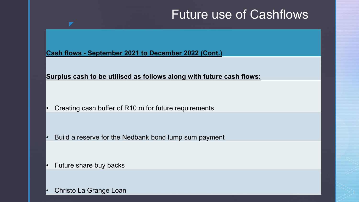# Future use of Cashflows

**Cash flows - September 2021 to December 2022 (Cont.)**

**Surplus cash to be utilised as follows along with future cash flows:**

• Creating cash buffer of R10 m for future requirements

• Build a reserve for the Nedbank bond lump sum payment

• Future share buy backs

y

• Christo La Grange Loan